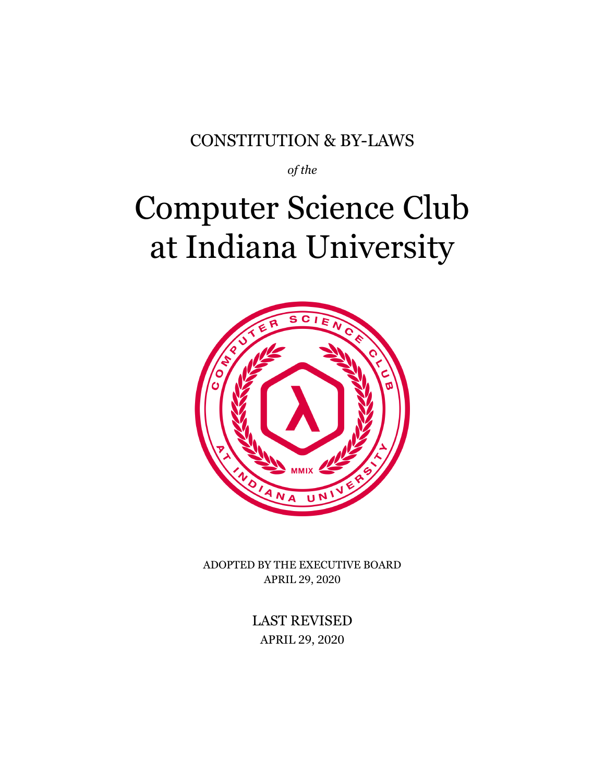#### CONSTITUTION & BY-LAWS

*of the*

# Computer Science Club at Indiana University



ADOPTED BY THE EXECUTIVE BOARD APRIL 29, 2020

> LAST REVISED APRIL 29, 2020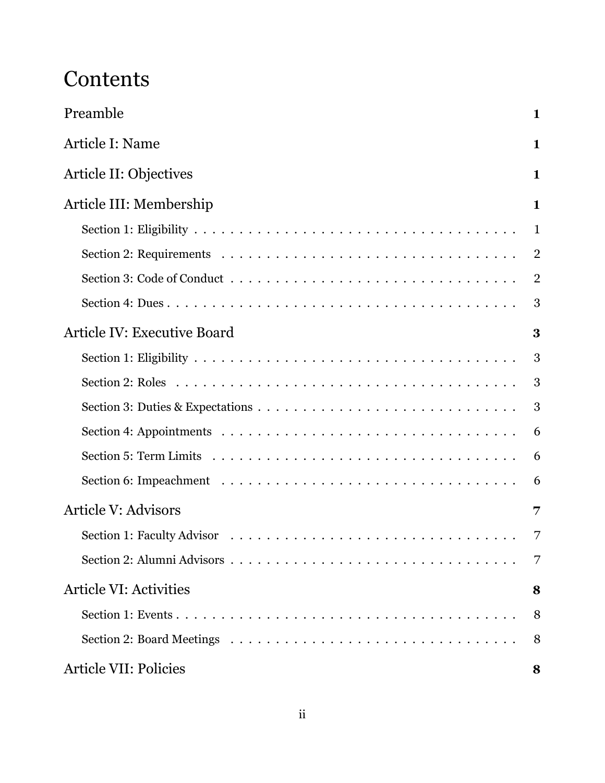### **Contents**

| Preamble                           | $\mathbf{1}$   |
|------------------------------------|----------------|
| Article I: Name                    | $\mathbf{1}$   |
| Article II: Objectives             | $\mathbf{1}$   |
| Article III: Membership            | $\mathbf{1}$   |
|                                    | $\mathbf{1}$   |
|                                    | $\overline{2}$ |
|                                    | $\overline{2}$ |
|                                    | 3              |
| <b>Article IV: Executive Board</b> | 3              |
|                                    | 3              |
|                                    | 3              |
|                                    | 3              |
|                                    | 6              |
|                                    | 6              |
|                                    | 6              |
| <b>Article V: Advisors</b>         | 7              |
|                                    | 7              |
|                                    | 7              |
| <b>Article VI: Activities</b>      | 8              |
|                                    | 8              |
|                                    | 8              |
| <b>Article VII: Policies</b>       | 8              |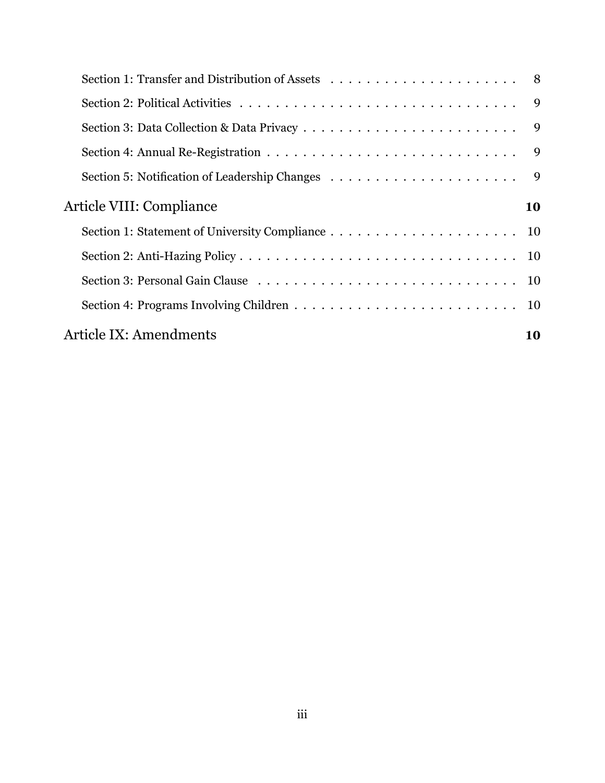|                          | $\overline{9}$ |
|--------------------------|----------------|
|                          | $\overline{9}$ |
|                          |                |
| Article VIII: Compliance | 10             |
|                          |                |
|                          |                |
|                          |                |
|                          |                |
|                          |                |
| Article IX: Amendments   | 10             |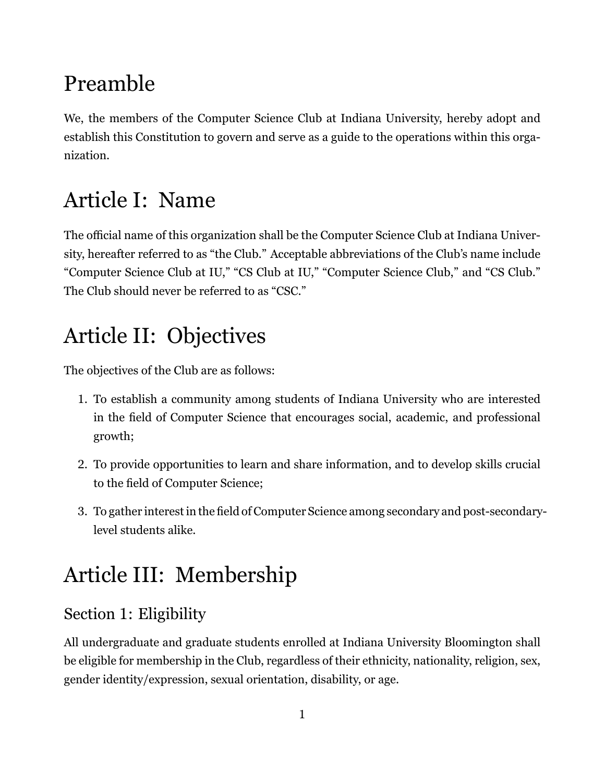### Preamble

We, the members of the Computer Science Club at Indiana University, hereby adopt and establish this Constitution to govern and serve as a guide to the operations within this organization.

### Article I: Name

The official name of this organization shall be the Computer Science Club at Indiana University, hereafter referred to as "the Club." Acceptable abbreviations of the Club's name include "Computer Science Club at IU," "CS Club at IU," "Computer Science Club," and "CS Club." The Club should never be referred to as "CSC."

### Article II: Objectives

The objectives of the Club are as follows:

- 1. To establish a community among students of Indiana University who are interested in the field of Computer Science that encourages social, academic, and professional growth;
- 2. To provide opportunities to learn and share information, and to develop skills crucial to the field of Computer Science;
- 3. To gather interest in the field of Computer Science among secondary and post-secondarylevel students alike.

## Article III: Membership

### Section 1: Eligibility

All undergraduate and graduate students enrolled at Indiana University Bloomington shall be eligible for membership in the Club, regardless of their ethnicity, nationality, religion, sex, gender identity/expression, sexual orientation, disability, or age.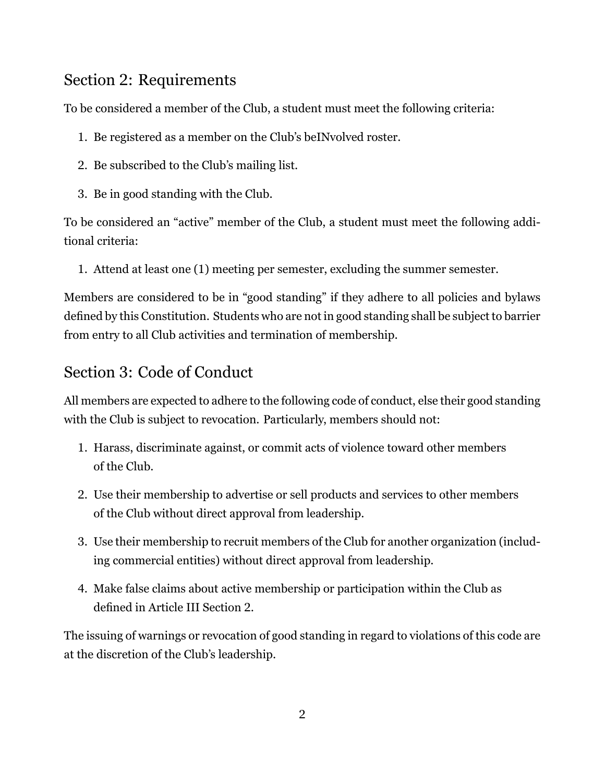#### Section 2: Requirements

To be considered a member of the Club, a student must meet the following criteria:

- 1. Be registered as a member on the Club's beINvolved roster.
- 2. Be subscribed to the Club's mailing list.
- 3. Be in good standing with the Club.

To be considered an "active" member of the Club, a student must meet the following additional criteria:

1. Attend at least one (1) meeting per semester, excluding the summer semester.

Members are considered to be in "good standing" if they adhere to all policies and bylaws defined by this Constitution. Students who are not in good standing shall be subject to barrier from entry to all Club activities and termination of membership.

#### Section 3: Code of Conduct

All members are expected to adhere to the following code of conduct, else their good standing with the Club is subject to revocation. Particularly, members should not:

- 1. Harass, discriminate against, or commit acts of violence toward other members of the Club.
- 2. Use their membership to advertise or sell products and services to other members of the Club without direct approval from leadership.
- 3. Use their membership to recruit members of the Club for another organization (including commercial entities) without direct approval from leadership.
- 4. Make false claims about active membership or participation within the Club as defined in Article III Section 2.

The issuing of warnings or revocation of good standing in regard to violations of this code are at the discretion of the Club's leadership.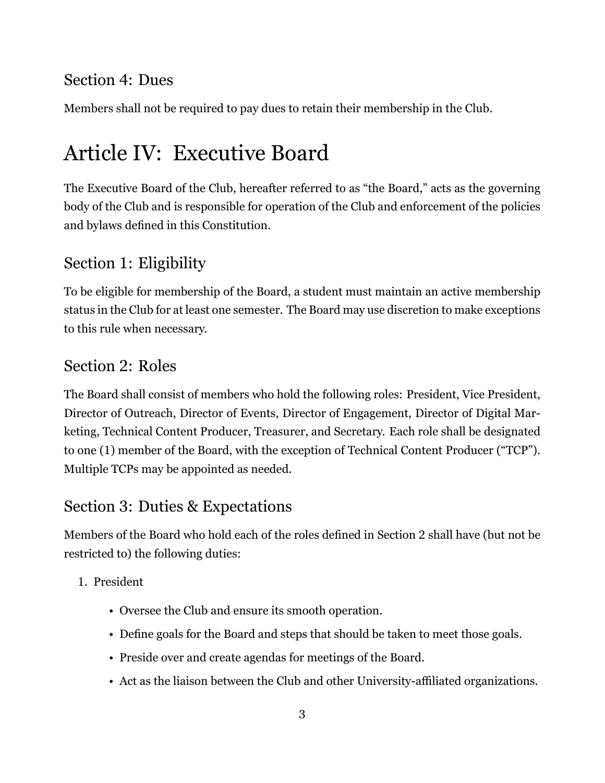#### Section 4: Dues

Members shall not be required to pay dues to retain their membership in the Club.

### Article IV: Executive Board

The Executive Board of the Club, hereafter referred to as "the Board," acts as the governing body of the Club and is responsible for operation of the Club and enforcement of the policies and bylaws defined in this Constitution.

#### Section 1: Eligibility

To be eligible for membership of the Board, a student must maintain an active membership status in the Club for at least one semester. The Board may use discretion to make exceptions to this rule when necessary.

#### Section 2: Roles

The Board shall consist of members who hold the following roles: President, Vice President, Director of Outreach, Director of Events, Director of Engagement, Director of Digital Marketing, Technical Content Producer, Treasurer, and Secretary. Each role shall be designated to one (1) member of the Board, with the exception of Technical Content Producer ("TCP"). Multiple TCPs may be appointed as needed.

#### Section 3: Duties & Expectations

Members of the Board who hold each of the roles defined in Section 2 shall have (but not be restricted to) the following duties:

- 1. President
	- Oversee the Club and ensure its smooth operation.
	- Define goals for the Board and steps that should be taken to meet those goals.
	- Preside over and create agendas for meetings of the Board.
	- Act as the liaison between the Club and other University-affiliated organizations.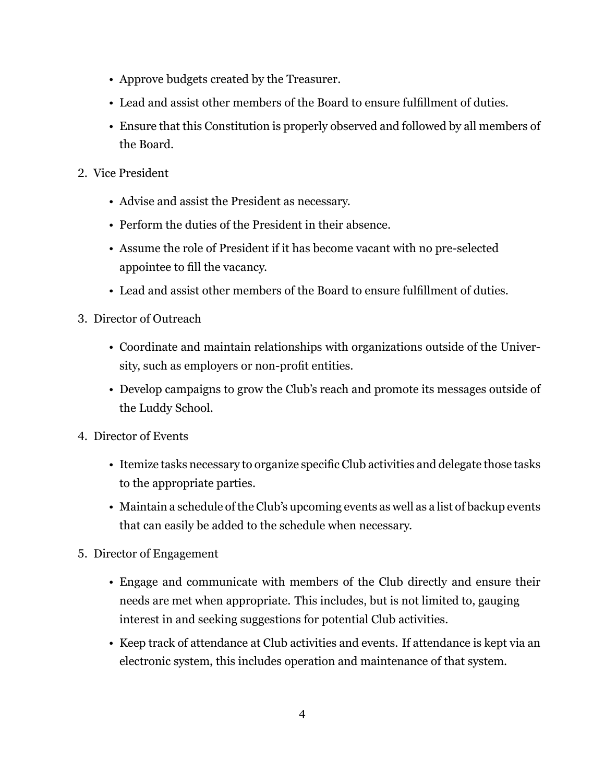- Approve budgets created by the Treasurer.
- Lead and assist other members of the Board to ensure fulfillment of duties.
- Ensure that this Constitution is properly observed and followed by all members of the Board.
- 2. Vice President
	- Advise and assist the President as necessary.
	- Perform the duties of the President in their absence.
	- Assume the role of President if it has become vacant with no pre-selected appointee to fill the vacancy.
	- Lead and assist other members of the Board to ensure fulfillment of duties.
- 3. Director of Outreach
	- Coordinate and maintain relationships with organizations outside of the University, such as employers or non-profit entities.
	- Develop campaigns to grow the Club's reach and promote its messages outside of the Luddy School.
- 4. Director of Events
	- Itemize tasks necessary to organize specific Club activities and delegate those tasks to the appropriate parties.
	- Maintain a schedule of the Club's upcoming events as well as a list of backup events that can easily be added to the schedule when necessary.
- 5. Director of Engagement
	- Engage and communicate with members of the Club directly and ensure their needs are met when appropriate. This includes, but is not limited to, gauging interest in and seeking suggestions for potential Club activities.
	- Keep track of attendance at Club activities and events. If attendance is kept via an electronic system, this includes operation and maintenance of that system.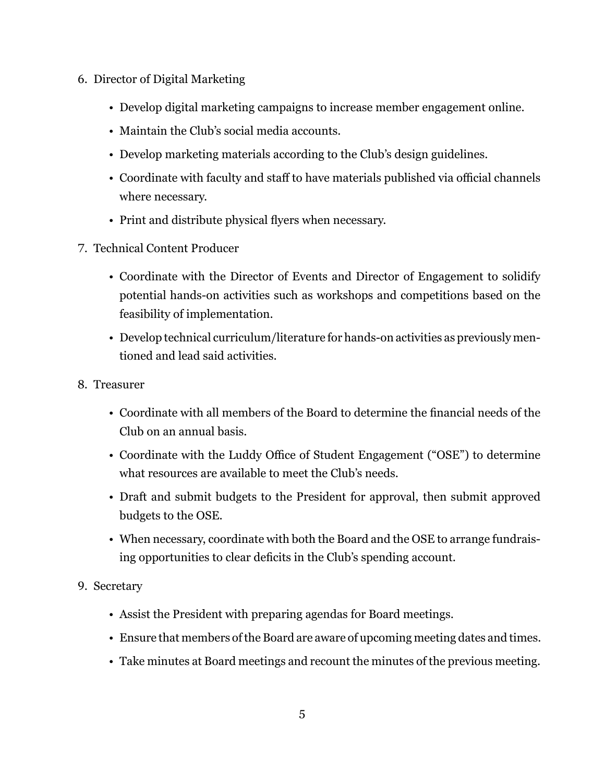- 6. Director of Digital Marketing
	- Develop digital marketing campaigns to increase member engagement online.
	- Maintain the Club's social media accounts.
	- Develop marketing materials according to the Club's design guidelines.
	- Coordinate with faculty and staff to have materials published via official channels where necessary.
	- Print and distribute physical flyers when necessary.
- 7. Technical Content Producer
	- Coordinate with the Director of Events and Director of Engagement to solidify potential hands-on activities such as workshops and competitions based on the feasibility of implementation.
	- Develop technical curriculum/literature for hands-on activities as previously mentioned and lead said activities.
- 8. Treasurer
	- Coordinate with all members of the Board to determine the financial needs of the Club on an annual basis.
	- Coordinate with the Luddy Office of Student Engagement ("OSE") to determine what resources are available to meet the Club's needs.
	- Draft and submit budgets to the President for approval, then submit approved budgets to the OSE.
	- When necessary, coordinate with both the Board and the OSE to arrange fundraising opportunities to clear deficits in the Club's spending account.

#### 9. Secretary

- Assist the President with preparing agendas for Board meetings.
- Ensure that members of the Board are aware of upcoming meeting dates and times.
- Take minutes at Board meetings and recount the minutes of the previous meeting.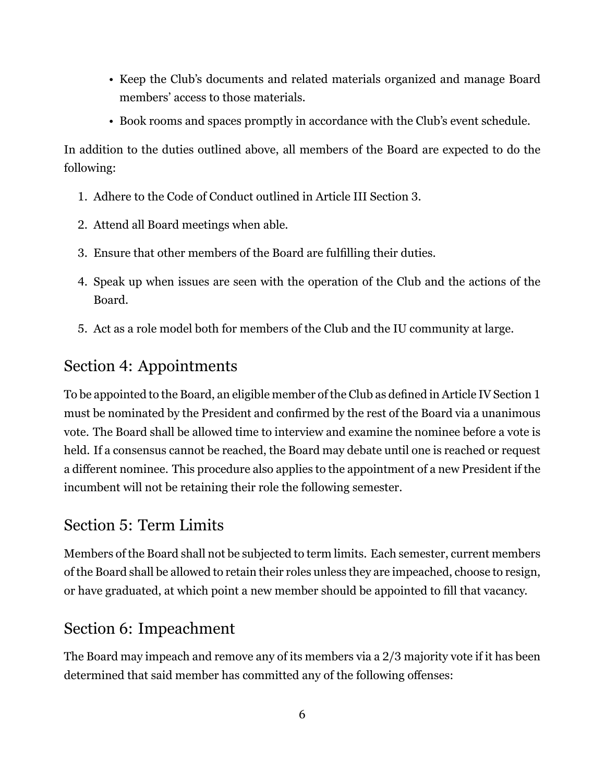- Keep the Club's documents and related materials organized and manage Board members' access to those materials.
- Book rooms and spaces promptly in accordance with the Club's event schedule.

In addition to the duties outlined above, all members of the Board are expected to do the following:

- 1. Adhere to the Code of Conduct outlined in Article III Section 3.
- 2. Attend all Board meetings when able.
- 3. Ensure that other members of the Board are fulfilling their duties.
- 4. Speak up when issues are seen with the operation of the Club and the actions of the Board.
- 5. Act as a role model both for members of the Club and the IU community at large.

#### Section 4: Appointments

To be appointed to the Board, an eligible member of the Club as defined in Article IV Section 1 must be nominated by the President and confirmed by the rest of the Board via a unanimous vote. The Board shall be allowed time to interview and examine the nominee before a vote is held. If a consensus cannot be reached, the Board may debate until one is reached or request a different nominee. This procedure also applies to the appointment of a new President if the incumbent will not be retaining their role the following semester.

#### Section 5: Term Limits

Members of the Board shall not be subjected to term limits. Each semester, current members of the Board shall be allowed to retain their roles unless they are impeached, choose to resign, or have graduated, at which point a new member should be appointed to fill that vacancy.

#### Section 6: Impeachment

The Board may impeach and remove any of its members via a 2/3 majority vote if it has been determined that said member has committed any of the following offenses: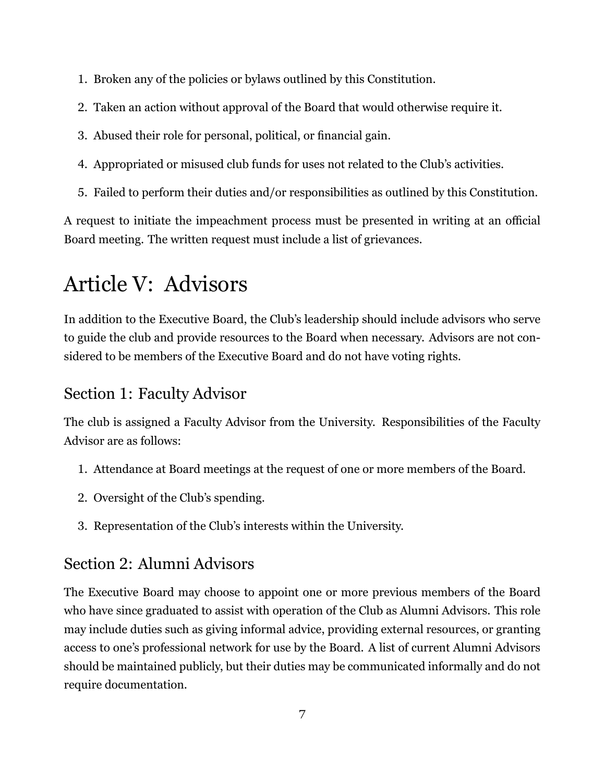- 1. Broken any of the policies or bylaws outlined by this Constitution.
- 2. Taken an action without approval of the Board that would otherwise require it.
- 3. Abused their role for personal, political, or financial gain.
- 4. Appropriated or misused club funds for uses not related to the Club's activities.
- 5. Failed to perform their duties and/or responsibilities as outlined by this Constitution.

A request to initiate the impeachment process must be presented in writing at an official Board meeting. The written request must include a list of grievances.

### Article V: Advisors

In addition to the Executive Board, the Club's leadership should include advisors who serve to guide the club and provide resources to the Board when necessary. Advisors are not considered to be members of the Executive Board and do not have voting rights.

#### Section 1: Faculty Advisor

The club is assigned a Faculty Advisor from the University. Responsibilities of the Faculty Advisor are as follows:

- 1. Attendance at Board meetings at the request of one or more members of the Board.
- 2. Oversight of the Club's spending.
- 3. Representation of the Club's interests within the University.

#### Section 2: Alumni Advisors

The Executive Board may choose to appoint one or more previous members of the Board who have since graduated to assist with operation of the Club as Alumni Advisors. This role may include duties such as giving informal advice, providing external resources, or granting access to one's professional network for use by the Board. A list of current Alumni Advisors should be maintained publicly, but their duties may be communicated informally and do not require documentation.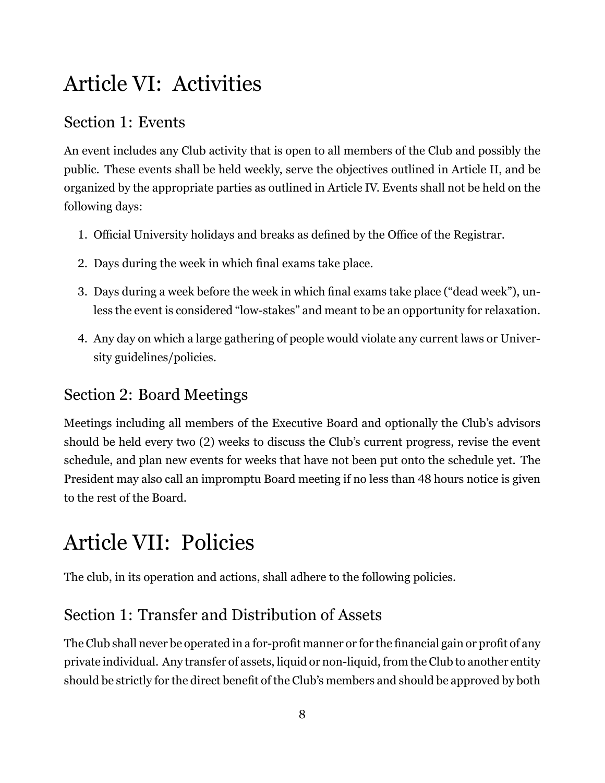### Article VI: Activities

#### Section 1: Events

An event includes any Club activity that is open to all members of the Club and possibly the public. These events shall be held weekly, serve the objectives outlined in Article II, and be organized by the appropriate parties as outlined in Article IV. Events shall not be held on the following days:

- 1. Official University holidays and breaks as defined by the Office of the Registrar.
- 2. Days during the week in which final exams take place.
- 3. Days during a week before the week in which final exams take place ("dead week"), unless the event is considered "low-stakes" and meant to be an opportunity for relaxation.
- 4. Any day on which a large gathering of people would violate any current laws or University guidelines/policies.

#### Section 2: Board Meetings

Meetings including all members of the Executive Board and optionally the Club's advisors should be held every two (2) weeks to discuss the Club's current progress, revise the event schedule, and plan new events for weeks that have not been put onto the schedule yet. The President may also call an impromptu Board meeting if no less than 48 hours notice is given to the rest of the Board.

### Article VII: Policies

The club, in its operation and actions, shall adhere to the following policies.

#### Section 1: Transfer and Distribution of Assets

The Club shall never be operated in a for-profit manner or for the financial gain or profit of any private individual. Any transfer of assets, liquid or non-liquid, from the Club to another entity should be strictly for the direct benefit of the Club's members and should be approved by both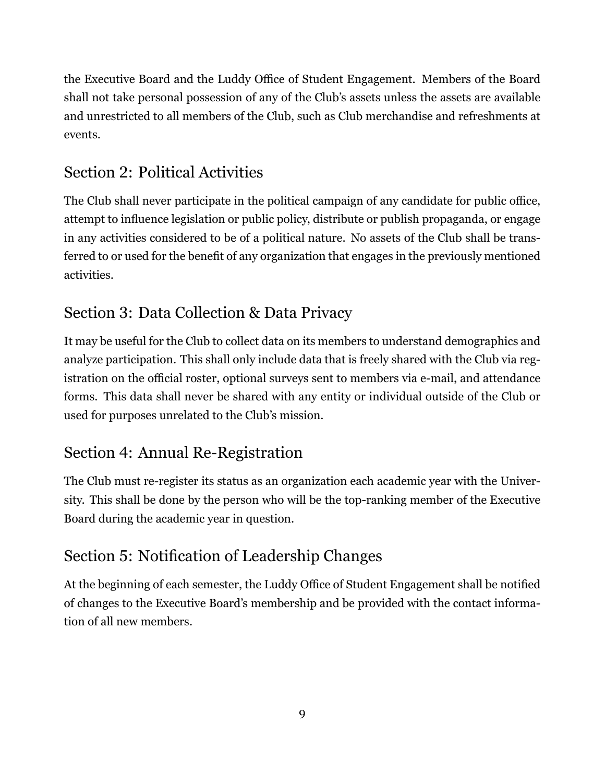the Executive Board and the Luddy Office of Student Engagement. Members of the Board shall not take personal possession of any of the Club's assets unless the assets are available and unrestricted to all members of the Club, such as Club merchandise and refreshments at events.

#### Section 2: Political Activities

The Club shall never participate in the political campaign of any candidate for public office, attempt to influence legislation or public policy, distribute or publish propaganda, or engage in any activities considered to be of a political nature. No assets of the Club shall be transferred to or used for the benefit of any organization that engages in the previously mentioned activities.

#### Section 3: Data Collection & Data Privacy

It may be useful for the Club to collect data on its members to understand demographics and analyze participation. This shall only include data that is freely shared with the Club via registration on the official roster, optional surveys sent to members via e-mail, and attendance forms. This data shall never be shared with any entity or individual outside of the Club or used for purposes unrelated to the Club's mission.

#### Section 4: Annual Re-Registration

The Club must re-register its status as an organization each academic year with the University. This shall be done by the person who will be the top-ranking member of the Executive Board during the academic year in question.

#### Section 5: Notification of Leadership Changes

At the beginning of each semester, the Luddy Office of Student Engagement shall be notified of changes to the Executive Board's membership and be provided with the contact information of all new members.